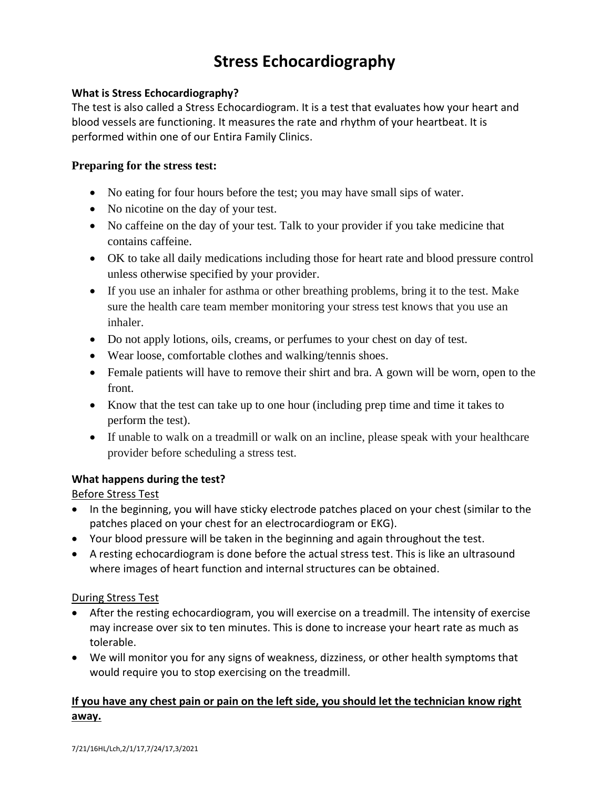# **Stress Echocardiography**

#### **What is Stress Echocardiography?**

The test is also called a Stress Echocardiogram. It is a test that evaluates how your heart and blood vessels are functioning. It measures the rate and rhythm of your heartbeat. It is performed within one of our Entira Family Clinics.

#### **Preparing for the stress test:**

- No eating for four hours before the test; you may have small sips of water.
- No nicotine on the day of your test.
- No caffeine on the day of your test. Talk to your provider if you take medicine that contains caffeine.
- OK to take all daily medications including those for heart rate and blood pressure control unless otherwise specified by your provider.
- If you use an inhaler for asthma or other breathing problems, bring it to the test. Make sure the health care team member monitoring your stress test knows that you use an inhaler.
- Do not apply lotions, oils, creams, or perfumes to your chest on day of test.
- Wear loose, comfortable clothes and walking/tennis shoes.
- Female patients will have to remove their shirt and bra. A gown will be worn, open to the front.
- Know that the test can take up to one hour (including prep time and time it takes to perform the test).
- If unable to walk on a treadmill or walk on an incline, please speak with your healthcare provider before scheduling a stress test.

## **What happens during the test?**

Before Stress Test

- In the beginning, you will have sticky electrode patches placed on your chest (similar to the patches placed on your chest for an electrocardiogram or EKG).
- Your blood pressure will be taken in the beginning and again throughout the test.
- A resting echocardiogram is done before the actual stress test. This is like an ultrasound where images of heart function and internal structures can be obtained.

## During Stress Test

- After the resting echocardiogram, you will exercise on a treadmill. The intensity of exercise may increase over six to ten minutes. This is done to increase your heart rate as much as tolerable.
- We will monitor you for any signs of weakness, dizziness, or other health symptoms that would require you to stop exercising on the treadmill.

## **If you have any chest pain or pain on the left side, you should let the technician know right away.**